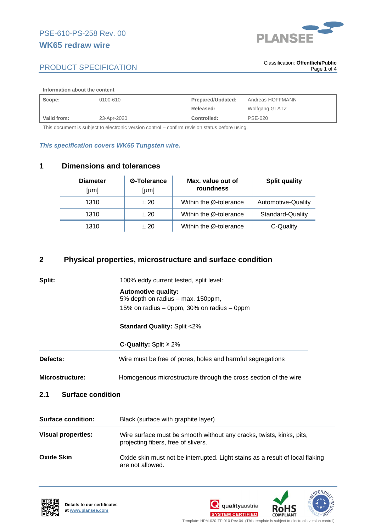

### **Information about the content**

| Scope:      | 0100-610    | Prepared/Updated: | Andreas HOFFMANN |
|-------------|-------------|-------------------|------------------|
|             |             | Released:         | Wolfgang GLATZ   |
| Valid from: | 23-Apr-2020 | Controlled:       | <b>PSE-020</b>   |

This document is subject to electronic version control – confirm revision status before using.

### *This specification covers WK65 Tungsten wire.*

# **1 Dimensions and tolerances**

| <b>Diameter</b><br>[µm] | Ø-Tolerance<br>[µm] | Max. value out of<br>roundness | <b>Split quality</b> |
|-------------------------|---------------------|--------------------------------|----------------------|
| 1310                    | ±20                 | Within the Ø-tolerance         | Automotive-Quality   |
| 1310                    | ±20                 | Within the Ø-tolerance         | Standard-Quality     |
| 1310                    | ±20                 | Within the Ø-tolerance         | C-Quality            |

# **2 Physical properties, microstructure and surface condition**

| Microstructure: | Homogenous microstructure through the cross section of the wire |  |
|-----------------|-----------------------------------------------------------------|--|
| <b>Defects:</b> | Wire must be free of pores, holes and harmful segregations      |  |
|                 | <b>C-Quality:</b> Split $\geq 2\%$                              |  |
|                 | <b>Standard Quality: Split &lt;2%</b>                           |  |
|                 | 15% on radius – 0ppm, 30% on radius – 0ppm                      |  |
|                 | <b>Automotive quality:</b><br>5% depth on radius – max. 150ppm, |  |
| Split:          | 100% eddy current tested, split level:                          |  |

| <b>Surface condition:</b> | Black (surface with graphite layer)                                                                         |  |
|---------------------------|-------------------------------------------------------------------------------------------------------------|--|
| <b>Visual properties:</b> | Wire surface must be smooth without any cracks, twists, kinks, pits,<br>projecting fibers, free of slivers. |  |
| Oxide Skin                | Oxide skin must not be interrupted. Light stains as a result of local flaking<br>are not allowed.           |  |





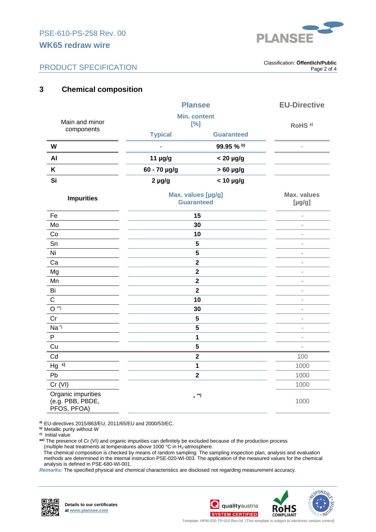

. Classification: **Öffentlich/Public** Page 2 of 4

# **3 Chemical composition**

|                                                       | <b>Plansee</b><br><b>Min. content</b><br>[%] |                         | <b>EU-Directive</b>               |
|-------------------------------------------------------|----------------------------------------------|-------------------------|-----------------------------------|
| Main and minor<br>components                          |                                              |                         | RoHS <sup>a)</sup>                |
|                                                       | <b>Typical</b>                               | <b>Guaranteed</b>       |                                   |
| W                                                     |                                              | 99.95 % b)              | $\overline{\phantom{a}}$          |
| AI                                                    | 11 µg/g                                      | $< 20 \mu g/g$          |                                   |
| Κ                                                     | 60 - 70 µg/g                                 | $>60$ µg/g              |                                   |
| Si                                                    | $2 \mu g/g$                                  | $< 10 \mu g/g$          |                                   |
| <b>Impurities</b>                                     | Max. values [µg/g]<br><b>Guaranteed</b>      |                         | <b>Max. values</b><br>$[\mu g/g]$ |
| Fe                                                    | 15                                           |                         | ä,                                |
| Mo                                                    | 30                                           |                         | ä,                                |
| Co                                                    | 10                                           |                         | ä,                                |
| Sn                                                    | 5                                            |                         | ä,                                |
| Ni                                                    | 5                                            |                         | ×,                                |
| Ca                                                    |                                              | $\overline{\mathbf{2}}$ | ä,                                |
| Mg                                                    | $\overline{\mathbf{2}}$                      |                         | ä,                                |
| Mn                                                    | $\overline{\mathbf{2}}$                      |                         | ÷,                                |
| Bi                                                    | $\mathbf{2}$                                 |                         | L,                                |
| $\mathsf C$                                           | 10                                           |                         | i.                                |
| $O^{\ast\ast}$                                        | 30                                           |                         | ä,                                |
| Cr                                                    | 5                                            |                         | L,                                |
| $Na^{\star}$                                          | 5                                            |                         | $\overline{\phantom{a}}$          |
| P                                                     | $\mathbf{1}$                                 |                         | i,                                |
| Cu                                                    | 5                                            |                         | L,                                |
| Cd                                                    |                                              | $\overline{\mathbf{2}}$ | 100                               |
| $Hg$ c)                                               | $\mathbf{1}$                                 |                         | 1000                              |
| Pb                                                    |                                              | $\mathbf{2}$            | 1000                              |
| Cr (VI)                                               |                                              |                         | 1000                              |
| Organic impurities<br>(e.g. PBB, PBDE,<br>PFOS, PFOA) |                                              | _ **)                   | 1000                              |

**a)** EU-directives 2015/863/EU, 2011/65/EU and 2000/53/EC.

**b)** Metallic purity without W

**c)** Initial value

**\*\* )** The presence of Cr (VI) and organic impurities can definitely be excluded because of the production process (multiple heat treatments at temperatures above 1000 °C in H2-atmosphere.

 The chemical composition is checked by means of random sampling. The sampling inspection plan, analysis and evaluation methods are determined in the internal instruction PSE-020-WI-003. The application of the measured values for the chemical analysis is defined in PSE-680-WI-001.

*Remarks:* The specified physical and chemical characteristics are disclosed not regarding measurement accuracy.







Template: HPM-020-TP-010 Rev.04 (This template is subject to electronic version control) .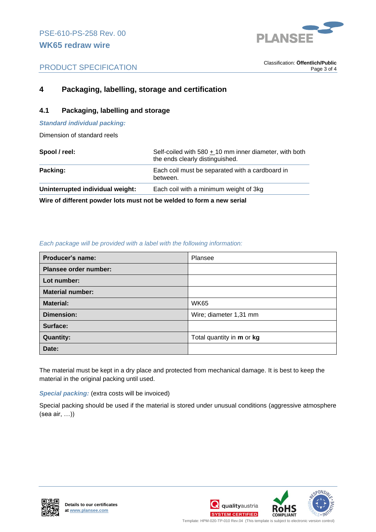

. Classification: **Öffentlich/Public** Page 3 of 4

# **4 Packaging, labelling, storage and certification**

## **4.1 Packaging, labelling and storage**

### *Standard individual packing:*

Dimension of standard reels

| Spool / reel:                    | Self-coiled with $580 + 10$ mm inner diameter, with both<br>the ends clearly distinguished. |
|----------------------------------|---------------------------------------------------------------------------------------------|
| Packing:                         | Each coil must be separated with a cardboard in<br>between.                                 |
| Uninterrupted individual weight: | Each coil with a minimum weight of 3kg                                                      |
| ----                             |                                                                                             |

**Wire of different powder lots must not be welded to form a new serial**

### *Each package will be provided with a label with the following information:*

| Producer's name:             | Plansee                          |
|------------------------------|----------------------------------|
| <b>Plansee order number:</b> |                                  |
| Lot number:                  |                                  |
| <b>Material number:</b>      |                                  |
| <b>Material:</b>             | <b>WK65</b>                      |
| <b>Dimension:</b>            | Wire; diameter 1,31 mm           |
| Surface:                     |                                  |
| <b>Quantity:</b>             | Total quantity in <b>m</b> or kg |
| Date:                        |                                  |

The material must be kept in a dry place and protected from mechanical damage. It is best to keep the material in the original packing until used.

### *Special packing:* (extra costs will be invoiced)

Special packing should be used if the material is stored under unusual conditions (aggressive atmosphere (sea air, …))